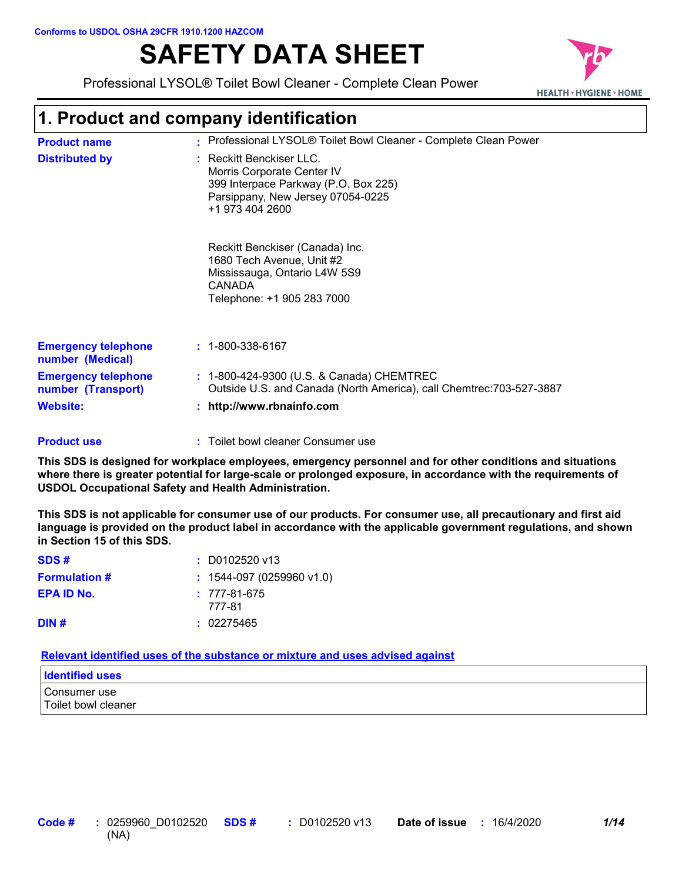# **SAFETY DATA SHEET**

Professional LYSOL® Toilet Bowl Cleaner - Complete Clean Power



## **1. Product and company identification**

| <b>Product name</b>                              | : Professional LYSOL® Toilet Bowl Cleaner - Complete Clean Power                                                                                       |
|--------------------------------------------------|--------------------------------------------------------------------------------------------------------------------------------------------------------|
| <b>Distributed by</b>                            | : Reckitt Benckiser LLC.<br>Morris Corporate Center IV<br>399 Interpace Parkway (P.O. Box 225)<br>Parsippany, New Jersey 07054-0225<br>+1 973 404 2600 |
|                                                  | Reckitt Benckiser (Canada) Inc.<br>1680 Tech Avenue, Unit #2<br>Mississauga, Ontario L4W 5S9<br>CANADA<br>Telephone: +1 905 283 7000                   |
| <b>Emergency telephone</b><br>number (Medical)   | $: 1 - 800 - 338 - 6167$                                                                                                                               |
| <b>Emergency telephone</b><br>number (Transport) | : 1-800-424-9300 (U.S. & Canada) CHEMTREC<br>Outside U.S. and Canada (North America), call Chemtrec: 703-527-3887                                      |
| <b>Website:</b>                                  | http://www.rbnainfo.com                                                                                                                                |

Toilet bowl cleaner Consumer use **: Product use**

**This SDS is designed for workplace employees, emergency personnel and for other conditions and situations where there is greater potential for large-scale or prolonged exposure, in accordance with the requirements of USDOL Occupational Safety and Health Administration.**

**This SDS is not applicable for consumer use of our products. For consumer use, all precautionary and first aid language is provided on the product label in accordance with the applicable government regulations, and shown in Section 15 of this SDS.**

| SDS#                 | $: $ D0102520 v13                  |
|----------------------|------------------------------------|
| <b>Formulation #</b> | $: 1544-097(0259960 \text{ v1.0})$ |
| <b>EPA ID No.</b>    | $: 777-81-675$<br>777-81           |
| DIN#                 | : 02275465                         |

**Relevant identified uses of the substance or mixture and uses advised against**

| <b>Identified uses</b>              |  |
|-------------------------------------|--|
| Consumer use<br>Toilet bowl cleaner |  |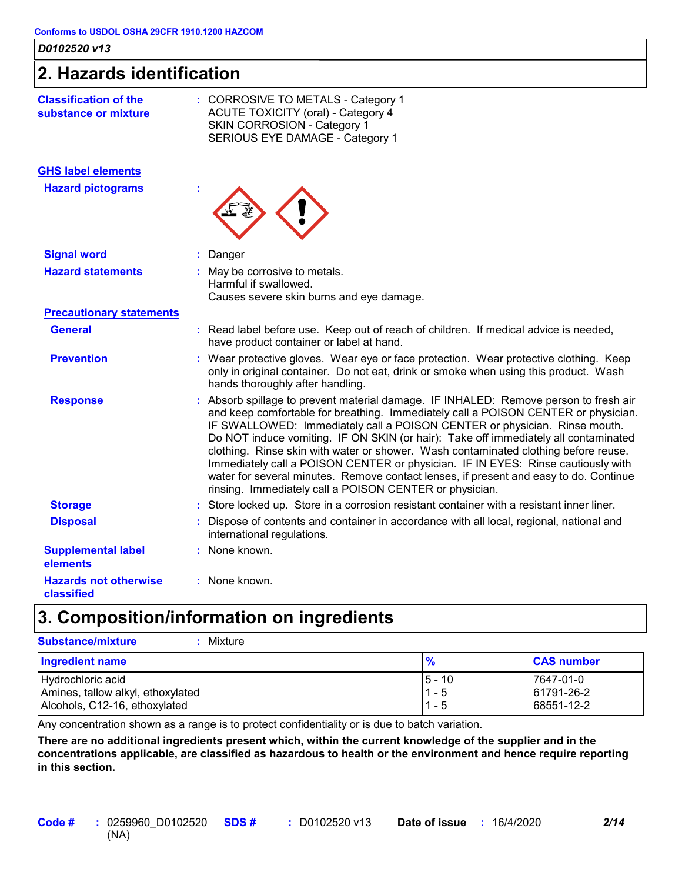### **2. Hazards identification**

| <b>Classification of the</b><br>substance or mixture | : CORROSIVE TO METALS - Category 1<br>ACUTE TOXICITY (oral) - Category 4<br>SKIN CORROSION - Category 1<br>SERIOUS EYE DAMAGE - Category 1                                                                                                                                                                                                                                                                                                                                                                                                                                                                                                                                    |
|------------------------------------------------------|-------------------------------------------------------------------------------------------------------------------------------------------------------------------------------------------------------------------------------------------------------------------------------------------------------------------------------------------------------------------------------------------------------------------------------------------------------------------------------------------------------------------------------------------------------------------------------------------------------------------------------------------------------------------------------|
| <b>GHS label elements</b>                            |                                                                                                                                                                                                                                                                                                                                                                                                                                                                                                                                                                                                                                                                               |
| <b>Hazard pictograms</b>                             |                                                                                                                                                                                                                                                                                                                                                                                                                                                                                                                                                                                                                                                                               |
| <b>Signal word</b>                                   | : Danger                                                                                                                                                                                                                                                                                                                                                                                                                                                                                                                                                                                                                                                                      |
| <b>Hazard statements</b>                             | : May be corrosive to metals.<br>Harmful if swallowed.<br>Causes severe skin burns and eye damage.                                                                                                                                                                                                                                                                                                                                                                                                                                                                                                                                                                            |
| <b>Precautionary statements</b>                      |                                                                                                                                                                                                                                                                                                                                                                                                                                                                                                                                                                                                                                                                               |
| <b>General</b>                                       | : Read label before use. Keep out of reach of children. If medical advice is needed,<br>have product container or label at hand.                                                                                                                                                                                                                                                                                                                                                                                                                                                                                                                                              |
| <b>Prevention</b>                                    | : Wear protective gloves. Wear eye or face protection. Wear protective clothing. Keep<br>only in original container. Do not eat, drink or smoke when using this product. Wash<br>hands thoroughly after handling.                                                                                                                                                                                                                                                                                                                                                                                                                                                             |
| <b>Response</b>                                      | : Absorb spillage to prevent material damage. IF INHALED: Remove person to fresh air<br>and keep comfortable for breathing. Immediately call a POISON CENTER or physician.<br>IF SWALLOWED: Immediately call a POISON CENTER or physician. Rinse mouth.<br>Do NOT induce vomiting. IF ON SKIN (or hair): Take off immediately all contaminated<br>clothing. Rinse skin with water or shower. Wash contaminated clothing before reuse.<br>Immediately call a POISON CENTER or physician. IF IN EYES: Rinse cautiously with<br>water for several minutes. Remove contact lenses, if present and easy to do. Continue<br>rinsing. Immediately call a POISON CENTER or physician. |
| <b>Storage</b>                                       | : Store locked up. Store in a corrosion resistant container with a resistant inner liner.                                                                                                                                                                                                                                                                                                                                                                                                                                                                                                                                                                                     |
| <b>Disposal</b>                                      | : Dispose of contents and container in accordance with all local, regional, national and<br>international regulations.                                                                                                                                                                                                                                                                                                                                                                                                                                                                                                                                                        |
| <b>Supplemental label</b><br>elements                | : None known.                                                                                                                                                                                                                                                                                                                                                                                                                                                                                                                                                                                                                                                                 |
| <b>Hazards not otherwise</b><br>classified           | : None known.                                                                                                                                                                                                                                                                                                                                                                                                                                                                                                                                                                                                                                                                 |

### **3. Composition/information on ingredients**

| <b>Substance/mixture</b><br>Mixture                                                     |                                |                                         |
|-----------------------------------------------------------------------------------------|--------------------------------|-----------------------------------------|
| Ingredient name                                                                         | $\frac{9}{6}$                  | <b>CAS number</b>                       |
| Hydrochloric acid<br>Amines, tallow alkyl, ethoxylated<br>Alcohols, C12-16, ethoxylated | $5 - 10$<br>$1 - 5$<br>$1 - 5$ | l 7647-01-0<br>61791-26-2<br>68551-12-2 |

Any concentration shown as a range is to protect confidentiality or is due to batch variation.

**There are no additional ingredients present which, within the current knowledge of the supplier and in the concentrations applicable, are classified as hazardous to health or the environment and hence require reporting in this section.**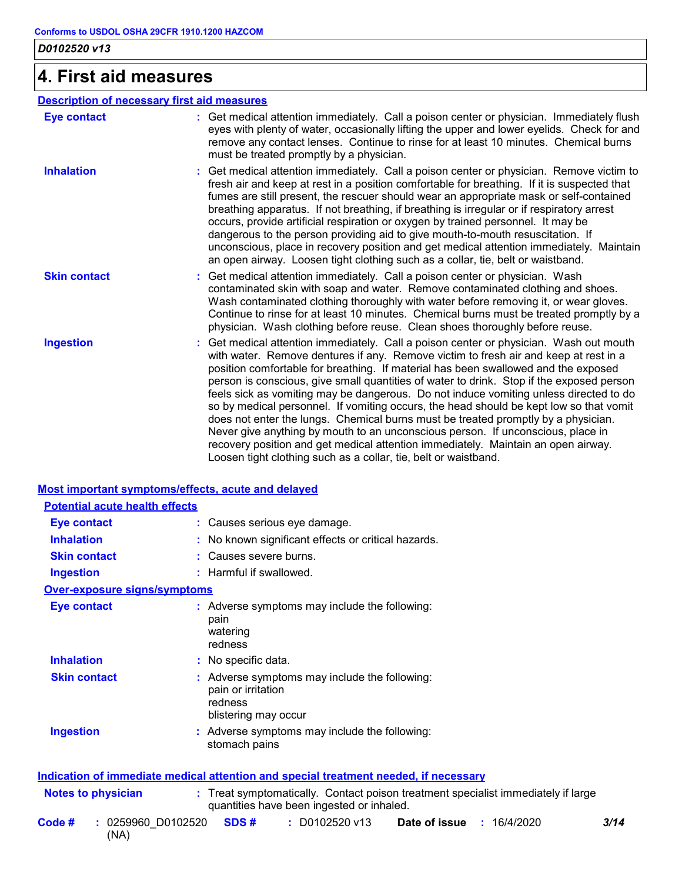## **4. First aid measures**

| <b>Description of necessary first aid measures</b> |                                                                                                                                                                                                                                                                                                                                                                                                                                                                                                                                                                                                                                                                                                                                                                                                                                                                                     |
|----------------------------------------------------|-------------------------------------------------------------------------------------------------------------------------------------------------------------------------------------------------------------------------------------------------------------------------------------------------------------------------------------------------------------------------------------------------------------------------------------------------------------------------------------------------------------------------------------------------------------------------------------------------------------------------------------------------------------------------------------------------------------------------------------------------------------------------------------------------------------------------------------------------------------------------------------|
| <b>Eye contact</b>                                 | : Get medical attention immediately. Call a poison center or physician. Immediately flush<br>eyes with plenty of water, occasionally lifting the upper and lower eyelids. Check for and<br>remove any contact lenses. Continue to rinse for at least 10 minutes. Chemical burns<br>must be treated promptly by a physician.                                                                                                                                                                                                                                                                                                                                                                                                                                                                                                                                                         |
| <b>Inhalation</b>                                  | : Get medical attention immediately. Call a poison center or physician. Remove victim to<br>fresh air and keep at rest in a position comfortable for breathing. If it is suspected that<br>fumes are still present, the rescuer should wear an appropriate mask or self-contained<br>breathing apparatus. If not breathing, if breathing is irregular or if respiratory arrest<br>occurs, provide artificial respiration or oxygen by trained personnel. It may be<br>dangerous to the person providing aid to give mouth-to-mouth resuscitation. If<br>unconscious, place in recovery position and get medical attention immediately. Maintain<br>an open airway. Loosen tight clothing such as a collar, tie, belt or waistband.                                                                                                                                                  |
| <b>Skin contact</b>                                | : Get medical attention immediately. Call a poison center or physician. Wash<br>contaminated skin with soap and water. Remove contaminated clothing and shoes.<br>Wash contaminated clothing thoroughly with water before removing it, or wear gloves.<br>Continue to rinse for at least 10 minutes. Chemical burns must be treated promptly by a<br>physician. Wash clothing before reuse. Clean shoes thoroughly before reuse.                                                                                                                                                                                                                                                                                                                                                                                                                                                    |
| <b>Ingestion</b>                                   | : Get medical attention immediately. Call a poison center or physician. Wash out mouth<br>with water. Remove dentures if any. Remove victim to fresh air and keep at rest in a<br>position comfortable for breathing. If material has been swallowed and the exposed<br>person is conscious, give small quantities of water to drink. Stop if the exposed person<br>feels sick as vomiting may be dangerous. Do not induce vomiting unless directed to do<br>so by medical personnel. If vomiting occurs, the head should be kept low so that vomit<br>does not enter the lungs. Chemical burns must be treated promptly by a physician.<br>Never give anything by mouth to an unconscious person. If unconscious, place in<br>recovery position and get medical attention immediately. Maintain an open airway.<br>Loosen tight clothing such as a collar, tie, belt or waistband. |

#### **Most important symptoms/effects, acute and delayed**

| <b>Potential acute health effects</b> |                                                                                                                                |
|---------------------------------------|--------------------------------------------------------------------------------------------------------------------------------|
| <b>Eye contact</b>                    | : Causes serious eye damage.                                                                                                   |
| <b>Inhalation</b>                     | : No known significant effects or critical hazards.                                                                            |
| <b>Skin contact</b>                   | : Causes severe burns.                                                                                                         |
| <b>Ingestion</b>                      | : Harmful if swallowed.                                                                                                        |
| <b>Over-exposure signs/symptoms</b>   |                                                                                                                                |
| <b>Eye contact</b>                    | : Adverse symptoms may include the following:<br>pain<br>watering<br>redness                                                   |
| <b>Inhalation</b>                     | : No specific data.                                                                                                            |
| <b>Skin contact</b>                   | : Adverse symptoms may include the following:<br>pain or irritation<br>redness<br>blistering may occur                         |
| <b>Ingestion</b>                      | : Adverse symptoms may include the following:<br>stomach pains                                                                 |
|                                       | <b>Indication of immediate medical attention and special treatment needed, if necessary</b>                                    |
| Notes to physician                    | : Treat symptomatically. Contact poison treatment specialist immediately if large<br>quantities have been ingested or inhaled. |
| Code #<br>: 0259960 D0102520<br>(NA)  | SDS#<br>$: $ D0102520 v13<br>Date of issue<br>3/14<br>: 16/4/2020                                                              |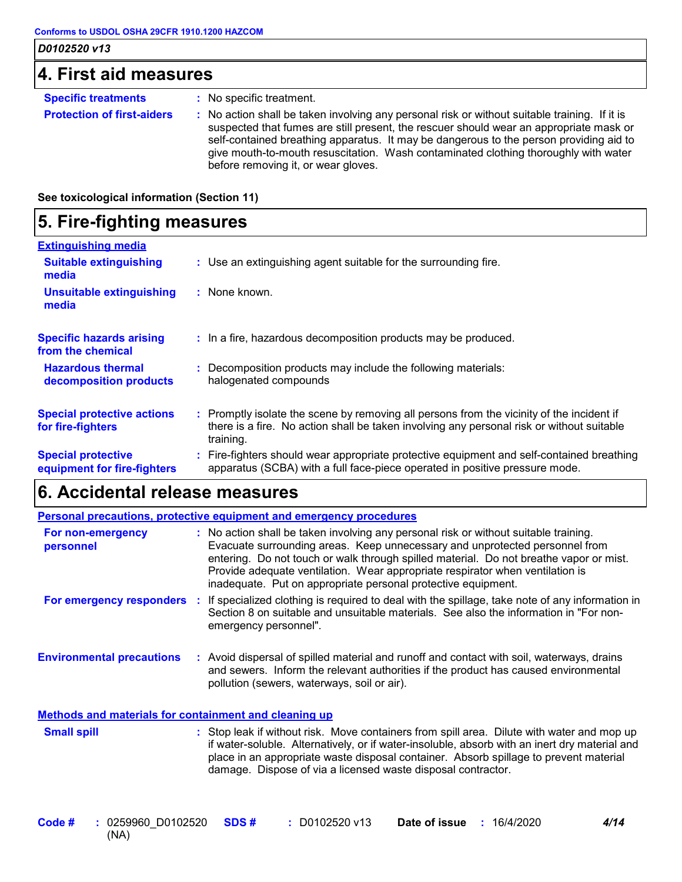| 4. First aid measures             |                                                                                               |
|-----------------------------------|-----------------------------------------------------------------------------------------------|
| <b>Specific treatments</b>        | : No specific treatment.                                                                      |
| <b>Protection of first-aiders</b> | No action shall be taken involving any personal risk or without suitable training<br>lf it is |

**Protection of first-aiders :** No action shall be taken involving any personal risk or without suitable training. If it is suspected that fumes are still present, the rescuer should wear an appropriate mask or self-contained breathing apparatus. It may be dangerous to the person providing aid to give mouth-to-mouth resuscitation. Wash contaminated clothing thoroughly with water before removing it, or wear gloves.

**See toxicological information (Section 11)**

## **5. Fire-fighting measures**

| <b>Extinguishing media</b>                               |                                                                                                                                                                                                     |  |
|----------------------------------------------------------|-----------------------------------------------------------------------------------------------------------------------------------------------------------------------------------------------------|--|
| <b>Suitable extinguishing</b><br>media                   | : Use an extinguishing agent suitable for the surrounding fire.                                                                                                                                     |  |
| <b>Unsuitable extinguishing</b><br>media                 | : None known.                                                                                                                                                                                       |  |
| <b>Specific hazards arising</b><br>from the chemical     | : In a fire, hazardous decomposition products may be produced.                                                                                                                                      |  |
| <b>Hazardous thermal</b><br>decomposition products       | Decomposition products may include the following materials:<br>halogenated compounds                                                                                                                |  |
| <b>Special protective actions</b><br>for fire-fighters   | : Promptly isolate the scene by removing all persons from the vicinity of the incident if<br>there is a fire. No action shall be taken involving any personal risk or without suitable<br>training. |  |
| <b>Special protective</b><br>equipment for fire-fighters | Fire-fighters should wear appropriate protective equipment and self-contained breathing<br>apparatus (SCBA) with a full face-piece operated in positive pressure mode.                              |  |

### **6. Accidental release measures**

|                                                       | <b>Personal precautions, protective equipment and emergency procedures</b>                                                                                                                                                                                                                                                                                                                                      |
|-------------------------------------------------------|-----------------------------------------------------------------------------------------------------------------------------------------------------------------------------------------------------------------------------------------------------------------------------------------------------------------------------------------------------------------------------------------------------------------|
| For non-emergency<br>personnel                        | : No action shall be taken involving any personal risk or without suitable training.<br>Evacuate surrounding areas. Keep unnecessary and unprotected personnel from<br>entering. Do not touch or walk through spilled material. Do not breathe vapor or mist.<br>Provide adequate ventilation. Wear appropriate respirator when ventilation is<br>inadequate. Put on appropriate personal protective equipment. |
| For emergency responders                              | : If specialized clothing is required to deal with the spillage, take note of any information in<br>Section 8 on suitable and unsuitable materials. See also the information in "For non-<br>emergency personnel".                                                                                                                                                                                              |
| <b>Environmental precautions</b>                      | : Avoid dispersal of spilled material and runoff and contact with soil, waterways, drains<br>and sewers. Inform the relevant authorities if the product has caused environmental<br>pollution (sewers, waterways, soil or air).                                                                                                                                                                                 |
| Methods and materials for containment and cleaning up |                                                                                                                                                                                                                                                                                                                                                                                                                 |
| <b>Small spill</b>                                    | : Stop leak if without risk. Move containers from spill area. Dilute with water and mop up<br>if water-soluble. Alternatively, or if water-insoluble, absorb with an inert dry material and                                                                                                                                                                                                                     |

0259960\_D0102520 **SDS # Date of issue :** 16/4/2020 *4/14* (NA) **Code # : 0259960 D0102520** 

damage. Dispose of via a licensed waste disposal contractor.

place in an appropriate waste disposal container. Absorb spillage to prevent material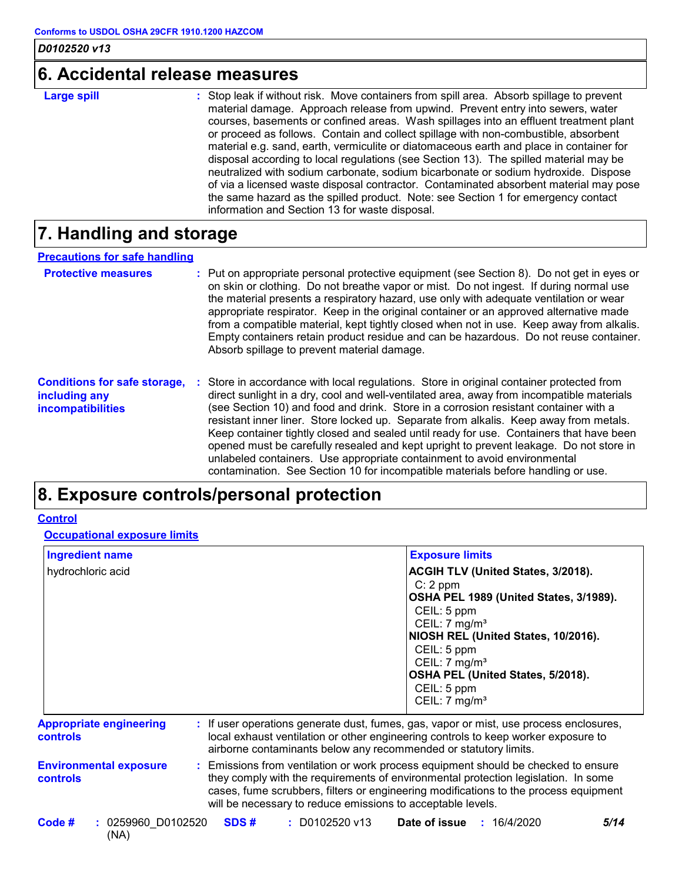### **6. Accidental release measures**

| <b>Large spill</b> | : Stop leak if without risk. Move containers from spill area. Absorb spillage to prevent<br>material damage. Approach release from upwind. Prevent entry into sewers, water<br>courses, basements or confined areas. Wash spillages into an effluent treatment plant |
|--------------------|----------------------------------------------------------------------------------------------------------------------------------------------------------------------------------------------------------------------------------------------------------------------|
|                    | or proceed as follows. Contain and collect spillage with non-combustible, absorbent<br>material e.g. sand, earth, vermiculite or diatomaceous earth and place in container for                                                                                       |
|                    | disposal according to local regulations (see Section 13). The spilled material may be<br>neutralized with sodium carbonate, sodium bicarbonate or sodium hydroxide. Dispose<br>of via a licensed waste disposal contractor. Contaminated absorbent material may pose |
|                    | the same hazard as the spilled product. Note: see Section 1 for emergency contact<br>information and Section 13 for waste disposal.                                                                                                                                  |

## **7. Handling and storage**

#### **Precautions for safe handling**

| <b>Protective measures</b>          | : Put on appropriate personal protective equipment (see Section 8). Do not get in eyes or<br>on skin or clothing. Do not breathe vapor or mist. Do not ingest. If during normal use<br>the material presents a respiratory hazard, use only with adequate ventilation or wear<br>appropriate respirator. Keep in the original container or an approved alternative made<br>from a compatible material, kept tightly closed when not in use. Keep away from alkalis.<br>Empty containers retain product residue and can be hazardous. Do not reuse container.<br>Absorb spillage to prevent material damage. |
|-------------------------------------|-------------------------------------------------------------------------------------------------------------------------------------------------------------------------------------------------------------------------------------------------------------------------------------------------------------------------------------------------------------------------------------------------------------------------------------------------------------------------------------------------------------------------------------------------------------------------------------------------------------|
| <b>Conditions for safe storage,</b> | : Store in accordance with local regulations. Store in original container protected from                                                                                                                                                                                                                                                                                                                                                                                                                                                                                                                    |

| <b>CONTROLLING TO SAIL STOLAGE.</b> | Store in accordance with local regulations. Store in original container protected from    |
|-------------------------------------|-------------------------------------------------------------------------------------------|
| including any                       | direct sunlight in a dry, cool and well-ventilated area, away from incompatible materials |
| <i>incompatibilities</i>            | (see Section 10) and food and drink. Store in a corrosion resistant container with a      |
|                                     | resistant inner liner. Store locked up. Separate from alkalis. Keep away from metals.     |
|                                     | Keep container tightly closed and sealed until ready for use. Containers that have been   |
|                                     | opened must be carefully resealed and kept upright to prevent leakage. Do not store in    |
|                                     | unlabeled containers. Use appropriate containment to avoid environmental                  |
|                                     | contamination. See Section 10 for incompatible materials before handling or use.          |
|                                     |                                                                                           |

## **8. Exposure controls/personal protection**

#### **Control**

**Occupational exposure limits**

| <b>Ingredient name</b>                            | <b>Exposure limits</b>                                                                                                                                                                                                                                                                                                          |
|---------------------------------------------------|---------------------------------------------------------------------------------------------------------------------------------------------------------------------------------------------------------------------------------------------------------------------------------------------------------------------------------|
| hydrochloric acid                                 | <b>ACGIH TLV (United States, 3/2018).</b><br>$C: 2$ ppm<br>OSHA PEL 1989 (United States, 3/1989).<br>CEIL: 5 ppm<br>CEIL: $7 \text{ mg/m}^3$<br>NIOSH REL (United States, 10/2016).<br>CEIL: 5 ppm<br>CEIL: $7 \text{ mg/m}^3$<br>OSHA PEL (United States, 5/2018).<br>CEIL: 5 ppm<br>CEIL: $7 \text{ mg/m}^3$                  |
| <b>Appropriate engineering</b><br><b>controls</b> | : If user operations generate dust, fumes, gas, vapor or mist, use process enclosures,<br>local exhaust ventilation or other engineering controls to keep worker exposure to<br>airborne contaminants below any recommended or statutory limits.                                                                                |
| <b>Environmental exposure</b><br>controls         | : Emissions from ventilation or work process equipment should be checked to ensure<br>they comply with the requirements of environmental protection legislation. In some<br>cases, fume scrubbers, filters or engineering modifications to the process equipment<br>will be necessary to reduce emissions to acceptable levels. |
| Code #<br>$: 0259960 $ D0102520<br>(NA)           | SDS#<br>$: $ D0102520 v13<br><b>Date of issue : 16/4/2020</b><br>5/14                                                                                                                                                                                                                                                           |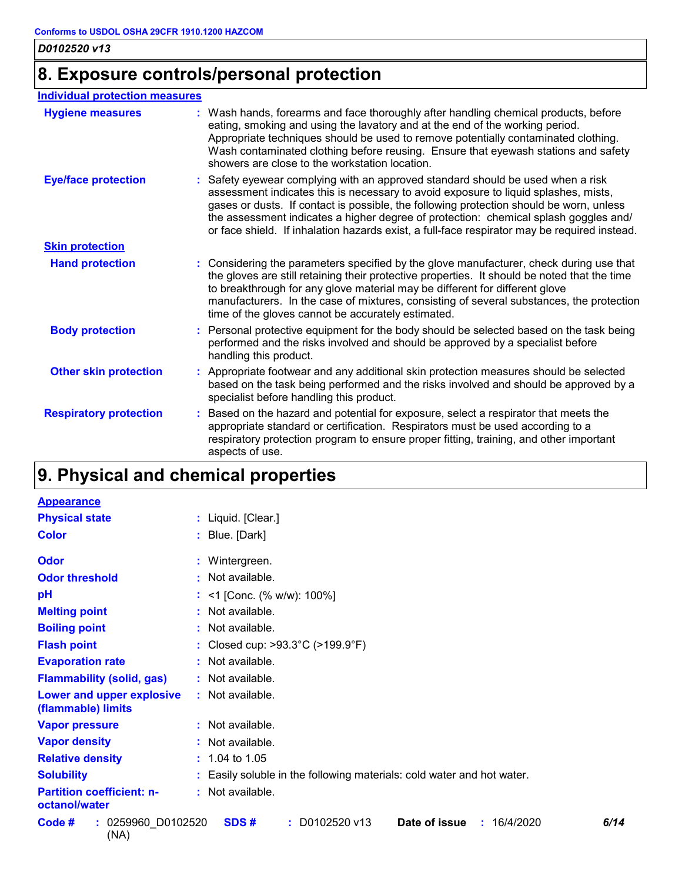## **8. Exposure controls/personal protection**

#### **Individual protection measures**

| <b>Hygiene measures</b>       | : Wash hands, forearms and face thoroughly after handling chemical products, before<br>eating, smoking and using the lavatory and at the end of the working period.<br>Appropriate techniques should be used to remove potentially contaminated clothing.<br>Wash contaminated clothing before reusing. Ensure that eyewash stations and safety<br>showers are close to the workstation location.                                                         |
|-------------------------------|-----------------------------------------------------------------------------------------------------------------------------------------------------------------------------------------------------------------------------------------------------------------------------------------------------------------------------------------------------------------------------------------------------------------------------------------------------------|
| <b>Eye/face protection</b>    | : Safety eyewear complying with an approved standard should be used when a risk<br>assessment indicates this is necessary to avoid exposure to liquid splashes, mists,<br>gases or dusts. If contact is possible, the following protection should be worn, unless<br>the assessment indicates a higher degree of protection: chemical splash goggles and/<br>or face shield. If inhalation hazards exist, a full-face respirator may be required instead. |
| <b>Skin protection</b>        |                                                                                                                                                                                                                                                                                                                                                                                                                                                           |
| <b>Hand protection</b>        | : Considering the parameters specified by the glove manufacturer, check during use that<br>the gloves are still retaining their protective properties. It should be noted that the time<br>to breakthrough for any glove material may be different for different glove<br>manufacturers. In the case of mixtures, consisting of several substances, the protection<br>time of the gloves cannot be accurately estimated.                                  |
| <b>Body protection</b>        | : Personal protective equipment for the body should be selected based on the task being<br>performed and the risks involved and should be approved by a specialist before<br>handling this product.                                                                                                                                                                                                                                                       |
| <b>Other skin protection</b>  | : Appropriate footwear and any additional skin protection measures should be selected<br>based on the task being performed and the risks involved and should be approved by a<br>specialist before handling this product.                                                                                                                                                                                                                                 |
| <b>Respiratory protection</b> | : Based on the hazard and potential for exposure, select a respirator that meets the<br>appropriate standard or certification. Respirators must be used according to a<br>respiratory protection program to ensure proper fitting, training, and other important<br>aspects of use.                                                                                                                                                                       |

## **9. Physical and chemical properties**

| <b>Appearance</b>                                 |                                                                      |
|---------------------------------------------------|----------------------------------------------------------------------|
| <b>Physical state</b>                             | : Liquid. [Clear.]                                                   |
| <b>Color</b>                                      | : Blue. [Dark]                                                       |
| Odor                                              | : Wintergreen.                                                       |
| <b>Odor threshold</b>                             | : Not available.                                                     |
| pH                                                | : <1 [Conc. (% w/w): $100\%$ ]                                       |
| <b>Melting point</b>                              | : Not available.                                                     |
| <b>Boiling point</b>                              | : Not available.                                                     |
| <b>Flash point</b>                                | : Closed cup: $>93.3^{\circ}$ C ( $>199.9^{\circ}$ F)                |
| <b>Evaporation rate</b>                           | : Not available.                                                     |
| <b>Flammability (solid, gas)</b>                  | : Not available.                                                     |
| Lower and upper explosive<br>(flammable) limits   | : Not available.                                                     |
| <b>Vapor pressure</b>                             | : Not available.                                                     |
| <b>Vapor density</b>                              | : Not available.                                                     |
| <b>Relative density</b>                           | $: 1.04$ to 1.05                                                     |
| <b>Solubility</b>                                 | Easily soluble in the following materials: cold water and hot water. |
| <b>Partition coefficient: n-</b><br>octanol/water | : Not available.                                                     |
| : 0259960_D0102520<br>Code #<br>(NA)              | Date of issue<br>$: $ D0102520 v13<br>6/14<br>SDS#<br>: 16/4/2020    |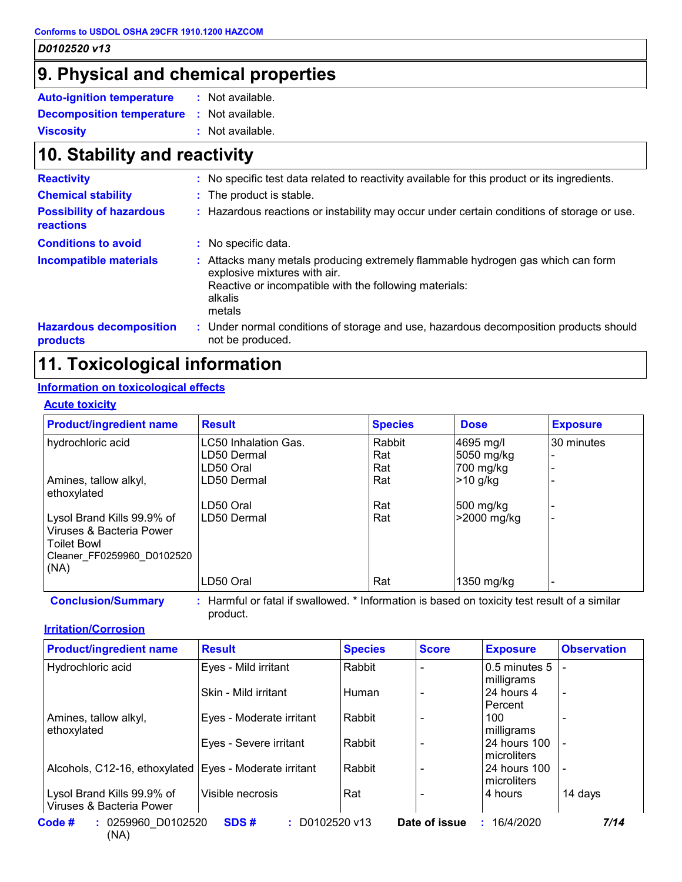### **9. Physical and chemical properties**

| <b>Auto-ignition temperature</b> | : Not available. |  |
|----------------------------------|------------------|--|
| <b>Decomposition temperature</b> | : Not available. |  |
| <b>Viscosity</b>                 | : Not available. |  |

## **10. Stability and reactivity**

| <b>Reactivity</b>                            | : No specific test data related to reactivity available for this product or its ingredients.                                                                                                 |
|----------------------------------------------|----------------------------------------------------------------------------------------------------------------------------------------------------------------------------------------------|
| <b>Chemical stability</b>                    | : The product is stable.                                                                                                                                                                     |
| <b>Possibility of hazardous</b><br>reactions | : Hazardous reactions or instability may occur under certain conditions of storage or use.                                                                                                   |
| <b>Conditions to avoid</b>                   | : No specific data.                                                                                                                                                                          |
| <b>Incompatible materials</b>                | Attacks many metals producing extremely flammable hydrogen gas which can form<br>explosive mixtures with air.<br>Reactive or incompatible with the following materials:<br>alkalis<br>metals |
| <b>Hazardous decomposition</b><br>products   | : Under normal conditions of storage and use, hazardous decomposition products should<br>not be produced.                                                                                    |

## **11. Toxicological information**

### **Information on toxicological effects**

#### **Acute toxicity**

| <b>Product/ingredient name</b>                                                                                     | <b>Result</b>                                                                             | <b>Species</b> | <b>Dose</b> | <b>Exposure</b> |
|--------------------------------------------------------------------------------------------------------------------|-------------------------------------------------------------------------------------------|----------------|-------------|-----------------|
| hydrochloric acid                                                                                                  | LC50 Inhalation Gas.                                                                      | Rabbit         | 4695 mg/l   | 30 minutes      |
|                                                                                                                    | LD50 Dermal                                                                               | Rat            | 5050 mg/kg  |                 |
|                                                                                                                    | LD50 Oral                                                                                 | Rat            | 700 mg/kg   |                 |
| Amines, tallow alkyl,<br>ethoxylated                                                                               | LD50 Dermal                                                                               | Rat            | $>10$ g/kg  |                 |
|                                                                                                                    | LD50 Oral                                                                                 | Rat            | 500 mg/kg   |                 |
| Lysol Brand Kills 99.9% of<br>Viruses & Bacteria Power<br><b>Toilet Bowl</b><br>Cleaner FF0259960 D0102520<br>(NA) | LD50 Dermal                                                                               | Rat            | >2000 mg/kg |                 |
|                                                                                                                    | LD50 Oral                                                                                 | Rat            | 1350 mg/kg  |                 |
| <b>Conclusion/Summary</b>                                                                                          | Harmful or fatal if swallowed * Information is based on toxicity test result of a similar |                |             |                 |

**Conclusion/Summary :** Harmful or fatal if swallowed. \* Information is based on toxicity test result of a similar product.

#### **Irritation/Corrosion**

| <b>Product/ingredient name</b>                         | <b>Result</b>             | <b>Species</b> | <b>Score</b>  | <b>Exposure</b>               | <b>Observation</b>       |
|--------------------------------------------------------|---------------------------|----------------|---------------|-------------------------------|--------------------------|
| Hydrochloric acid                                      | Eyes - Mild irritant      | Rabbit         |               | 0.5 minutes 5<br>milligrams   |                          |
|                                                        | Skin - Mild irritant      | Human          |               | 24 hours 4<br>Percent         | $\overline{\phantom{a}}$ |
| Amines, tallow alkyl,<br>ethoxylated                   | Eyes - Moderate irritant  | Rabbit         |               | 100<br>milligrams             |                          |
|                                                        | Eyes - Severe irritant    | Rabbit         |               | l 24 hours 100<br>microliters |                          |
| Alcohols, C12-16, ethoxylated Eyes - Moderate irritant |                           | Rabbit         |               | 24 hours 100<br>microliters   |                          |
| Lysol Brand Kills 99.9% of<br>Viruses & Bacteria Power | Visible necrosis          | Rat            |               | ⊦4 hours                      | 14 days                  |
| Code #<br>: 0259960 D0102520<br>$\lambda$              | $: $ D0102520 v13<br>SDS# |                | Date of issue | : 16/4/2020                   | 7/14                     |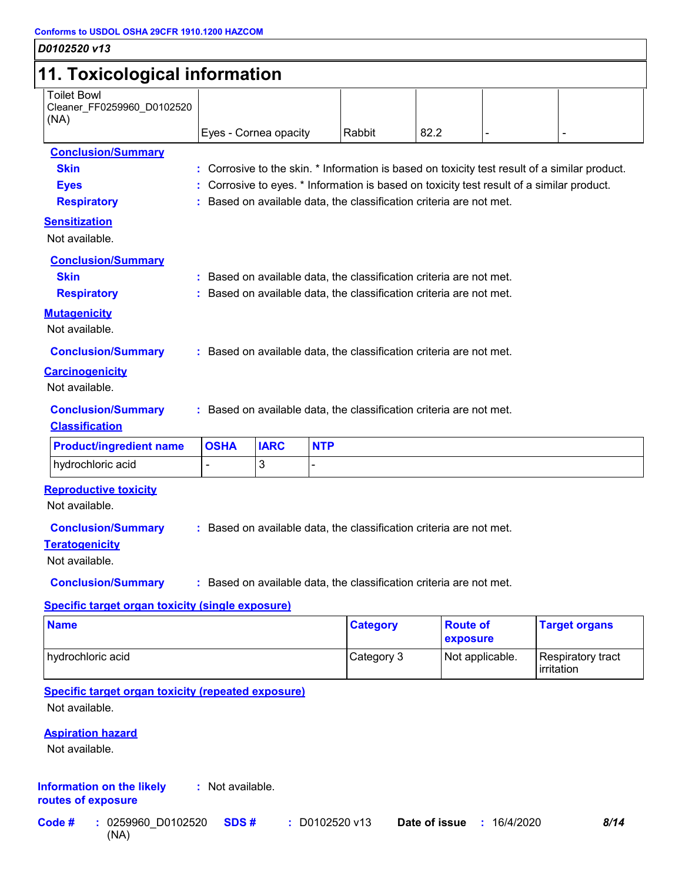### *D0102520 v13* **11. Toxicological information** Toilet Bowl Cleaner\_FF0259960\_D0102520 (NA) Eyes - Cornea opacity  $\vert$  Rabbit  $\vert$  82.2 **Conclusion/Summary Skin :** Corrosive to the skin. \* Information is based on toxicity test result of a similar product. **Eyes Exercise Exercise :** Corrosive to eyes. \* Information is based on toxicity test result of a similar product. **Respiratory :** Based on available data, the classification criteria are not met. **Carcinogenicity** Not available. **Conclusion/Summary :** Based on available data, the classification criteria are not met. **Mutagenicity** Not available. **Conclusion/Summary :** Based on available data, the classification criteria are not met. **Teratogenicity Reproductive toxicity Conclusion/Summary :** Based on available data, the classification criteria are not met. Not available. **Sensitization** Not available. **Conclusion/Summary Skin Example 2018 :** Based on available data, the classification criteria are not met. **Respiratory <b>:** Based on available data, the classification criteria are not met. **Classification** hydrochloric acid - <sup>3</sup> - **Product/ingredient name OSHA IARC NTP**

Not available.

**Conclusion/Summary :** Based on available data, the classification criteria are not met.

#### **Specific target organ toxicity (single exposure)**

| <b>Name</b>       | <b>Category</b> | <b>Route of</b><br><b>exposure</b> | <b>Target organs</b>             |
|-------------------|-----------------|------------------------------------|----------------------------------|
| hydrochloric acid | Category 3      | Not applicable.                    | Respiratory tract<br>lirritation |

**Specific target organ toxicity (repeated exposure)**

Not available.

#### **Aspiration hazard**

Not available.

#### **Information on the likely routes of exposure :** Not available.

(NA) **Code #** : 0259960 D0102520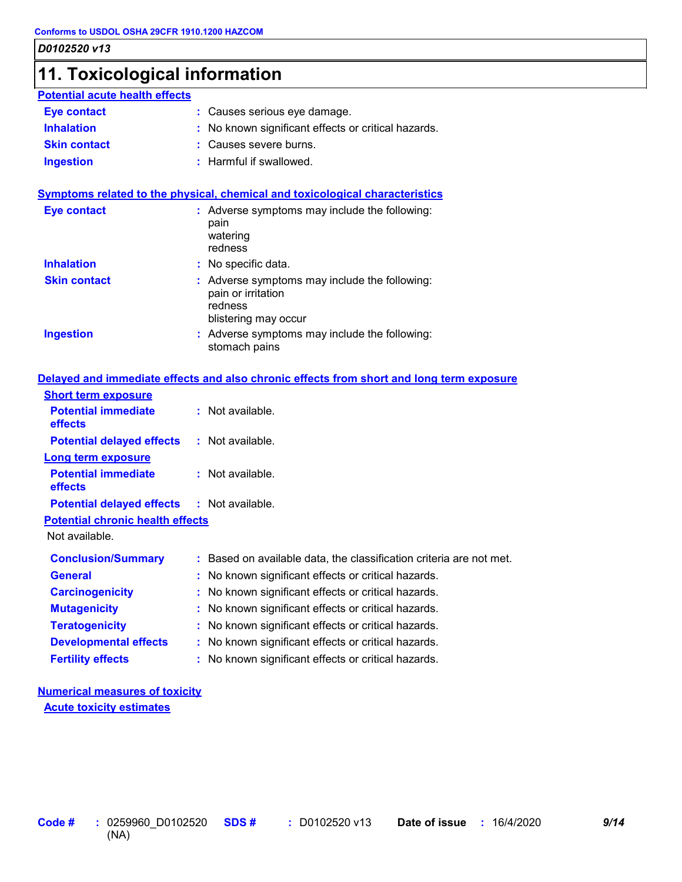### **11. Toxicological information**

| <b>Potential acute health effects</b> |                                                     |
|---------------------------------------|-----------------------------------------------------|
| <b>Eye contact</b>                    | : Causes serious eye damage.                        |
| <b>Inhalation</b>                     | : No known significant effects or critical hazards. |
| <b>Skin contact</b>                   | : Causes severe burns.                              |
| <b>Ingestion</b>                      | : Harmful if swallowed.                             |

#### **Symptoms related to the physical, chemical and toxicological characteristics**

| <b>Eye contact</b>  | : Adverse symptoms may include the following:<br>pain<br>watering<br>redness                           |
|---------------------|--------------------------------------------------------------------------------------------------------|
| <b>Inhalation</b>   | : No specific data.                                                                                    |
| <b>Skin contact</b> | : Adverse symptoms may include the following:<br>pain or irritation<br>redness<br>blistering may occur |
| <b>Ingestion</b>    | : Adverse symptoms may include the following:<br>stomach pains                                         |

#### **Delayed and immediate effects and also chronic effects from short and long term exposure**

| <b>Short term exposure</b>                        |                                                                     |
|---------------------------------------------------|---------------------------------------------------------------------|
| <b>Potential immediate</b><br>effects             | $:$ Not available.                                                  |
| <b>Potential delayed effects</b>                  | $:$ Not available.                                                  |
| <b>Long term exposure</b>                         |                                                                     |
| <b>Potential immediate</b><br>effects             | $:$ Not available.                                                  |
| <b>Potential delayed effects : Not available.</b> |                                                                     |
| <b>Potential chronic health effects</b>           |                                                                     |
| Not available.                                    |                                                                     |
| <b>Conclusion/Summary</b>                         | : Based on available data, the classification criteria are not met. |
| <b>General</b>                                    | : No known significant effects or critical hazards.                 |
| <b>Carcinogenicity</b>                            | : No known significant effects or critical hazards.                 |
| <b>Mutagenicity</b>                               | : No known significant effects or critical hazards.                 |
| <b>Teratogenicity</b>                             | : No known significant effects or critical hazards.                 |
| <b>Developmental effects</b>                      | : No known significant effects or critical hazards.                 |
| <b>Fertility effects</b>                          | : No known significant effects or critical hazards.                 |

### **Numerical measures of toxicity**

**Acute toxicity estimates**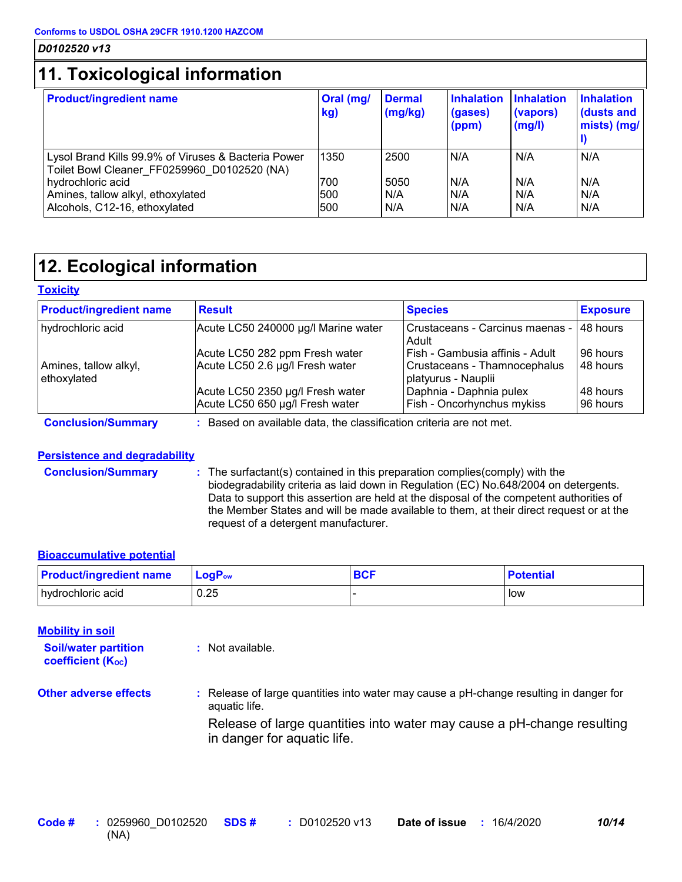## **11. Toxicological information**

| <b>Product/ingredient name</b>                                                                     | Oral (mg/<br>kg) | <b>Dermal</b><br>(mg/kg) | <b>Inhalation</b><br>(gases)<br>(ppm) | <b>Inhalation</b><br>(vapors)<br>(mg/l) | <b>Inhalation</b><br>dusts and<br>mists) (mg/ |
|----------------------------------------------------------------------------------------------------|------------------|--------------------------|---------------------------------------|-----------------------------------------|-----------------------------------------------|
| Lysol Brand Kills 99.9% of Viruses & Bacteria Power<br>Toilet Bowl Cleaner FF0259960 D0102520 (NA) | 1350             | 2500                     | N/A                                   | N/A                                     | N/A                                           |
| hydrochloric acid                                                                                  | 700              | 5050                     | N/A                                   | N/A                                     | N/A                                           |
| Amines, tallow alkyl, ethoxylated                                                                  | 500              | I N/A                    | N/A                                   | N/A                                     | N/A                                           |
| Alcohols, C12-16, ethoxylated                                                                      | 500              | N/A                      | N/A                                   | N/A                                     | N/A                                           |

## **12. Ecological information**

#### **Toxicity**

| <b>Product/ingredient name</b>       | <b>Result</b>                       | <b>Species</b>                                      | <b>Exposure</b> |
|--------------------------------------|-------------------------------------|-----------------------------------------------------|-----------------|
| hydrochloric acid                    | Acute LC50 240000 µg/l Marine water | Crustaceans - Carcinus maenas -  <br>Adult          | 48 hours        |
|                                      | Acute LC50 282 ppm Fresh water      | Fish - Gambusia affinis - Adult                     | 96 hours        |
| Amines, tallow alkyl,<br>ethoxylated | Acute LC50 2.6 µg/l Fresh water     | Crustaceans - Thamnocephalus<br>platyurus - Nauplii | 48 hours        |
|                                      | Acute LC50 2350 µg/l Fresh water    | Daphnia - Daphnia pulex                             | 48 hours        |
|                                      | Acute LC50 650 µg/l Fresh water     | Fish - Oncorhynchus mykiss                          | 96 hours        |

#### **Conclusion/Summary :** Based on available data, the classification criteria are not met.

aquatic life.

**:** Not available.

#### **Persistence and degradability**

**Conclusion/Summary :** The surfactant(s) contained in this preparation complies(comply) with the biodegradability criteria as laid down in Regulation (EC) No.648/2004 on detergents. Data to support this assertion are held at the disposal of the competent authorities of the Member States and will be made available to them, at their direct request or at the request of a detergent manufacturer.

#### **Bioaccumulative potential**

| <b>Product/ingredient name</b> | <b>LoaP</b> <sub>ow</sub> | <b>BCF</b> | <b>Potential</b> |
|--------------------------------|---------------------------|------------|------------------|
| hydrochloric acid              | 0.25                      |            | low              |

#### **Mobility in soil**

**Soil/water partition coefficient (KOC)**

**Other adverse effects :** Release of large quantities into water may cause a pH-change resulting in danger for

Release of large quantities into water may cause a pH-change resulting in danger for aquatic life.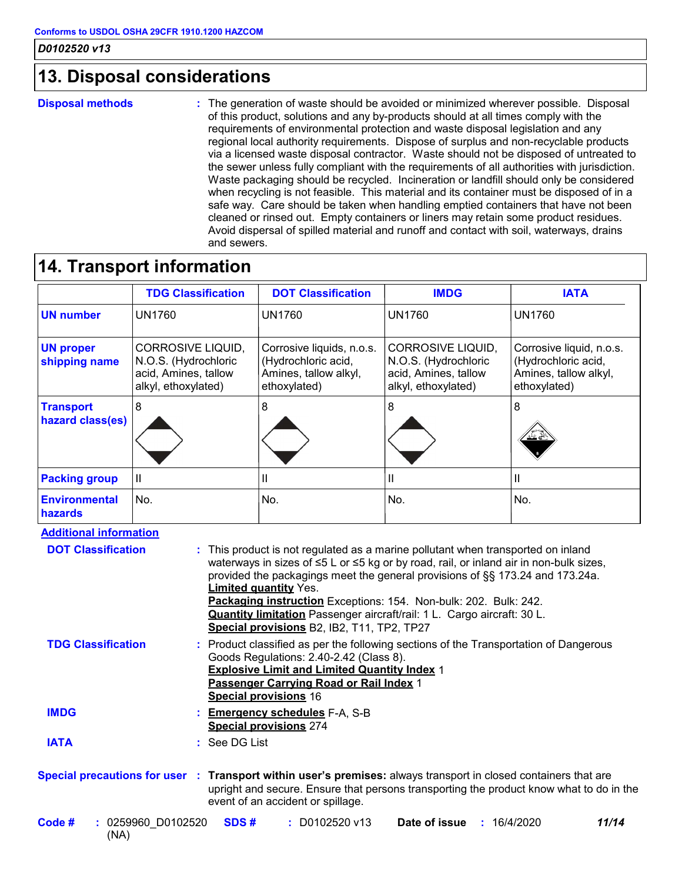### **13. Disposal considerations**

**Disposal methods :**

The generation of waste should be avoided or minimized wherever possible. Disposal of this product, solutions and any by-products should at all times comply with the requirements of environmental protection and waste disposal legislation and any regional local authority requirements. Dispose of surplus and non-recyclable products via a licensed waste disposal contractor. Waste should not be disposed of untreated to the sewer unless fully compliant with the requirements of all authorities with jurisdiction. Waste packaging should be recycled. Incineration or landfill should only be considered when recycling is not feasible. This material and its container must be disposed of in a safe way. Care should be taken when handling emptied containers that have not been cleaned or rinsed out. Empty containers or liners may retain some product residues. Avoid dispersal of spilled material and runoff and contact with soil, waterways, drains and sewers.

### **14. Transport information**

|                                                                                                                                                                                                                                                                                                                                                                                                                                                                                                                                                             | <b>TDG Classification</b>                                                                                                                                                                                                                                                                       | <b>DOT Classification</b>                                                                 | <b>IMDG</b>                                                                                     | <b>IATA</b>                                                                              |
|-------------------------------------------------------------------------------------------------------------------------------------------------------------------------------------------------------------------------------------------------------------------------------------------------------------------------------------------------------------------------------------------------------------------------------------------------------------------------------------------------------------------------------------------------------------|-------------------------------------------------------------------------------------------------------------------------------------------------------------------------------------------------------------------------------------------------------------------------------------------------|-------------------------------------------------------------------------------------------|-------------------------------------------------------------------------------------------------|------------------------------------------------------------------------------------------|
| <b>UN number</b>                                                                                                                                                                                                                                                                                                                                                                                                                                                                                                                                            | <b>UN1760</b>                                                                                                                                                                                                                                                                                   | <b>UN1760</b>                                                                             | <b>UN1760</b>                                                                                   | <b>UN1760</b>                                                                            |
| <b>UN proper</b><br>shipping name                                                                                                                                                                                                                                                                                                                                                                                                                                                                                                                           | <b>CORROSIVE LIQUID,</b><br>N.O.S. (Hydrochloric<br>acid, Amines, tallow<br>alkyl, ethoxylated)                                                                                                                                                                                                 | Corrosive liquids, n.o.s.<br>(Hydrochloric acid,<br>Amines, tallow alkyl,<br>ethoxylated) | <b>CORROSIVE LIQUID,</b><br>N.O.S. (Hydrochloric<br>acid, Amines, tallow<br>alkyl, ethoxylated) | Corrosive liquid, n.o.s.<br>(Hydrochloric acid,<br>Amines, tallow alkyl,<br>ethoxylated) |
| <b>Transport</b><br>hazard class(es)                                                                                                                                                                                                                                                                                                                                                                                                                                                                                                                        | 8                                                                                                                                                                                                                                                                                               | 8                                                                                         | 8                                                                                               | 8                                                                                        |
| <b>Packing group</b>                                                                                                                                                                                                                                                                                                                                                                                                                                                                                                                                        | $\mathbf{  }$                                                                                                                                                                                                                                                                                   | Ш                                                                                         | Ш                                                                                               | Ш                                                                                        |
| <b>Environmental</b><br>hazards                                                                                                                                                                                                                                                                                                                                                                                                                                                                                                                             | No.                                                                                                                                                                                                                                                                                             | No.                                                                                       | No.                                                                                             | No.                                                                                      |
| <b>Additional information</b><br><b>DOT Classification</b><br>This product is not regulated as a marine pollutant when transported on inland<br>waterways in sizes of ≤5 L or ≤5 kg or by road, rail, or inland air in non-bulk sizes,<br>provided the packagings meet the general provisions of §§ 173.24 and 173.24a.<br><b>Limited quantity Yes.</b><br>Packaging instruction Exceptions: 154. Non-bulk: 202. Bulk: 242.<br><b>Quantity limitation</b> Passenger aircraft/rail: 1 L. Cargo aircraft: 30 L.<br>Special provisions B2, IB2, T11, TP2, TP27 |                                                                                                                                                                                                                                                                                                 |                                                                                           |                                                                                                 |                                                                                          |
|                                                                                                                                                                                                                                                                                                                                                                                                                                                                                                                                                             | <b>TDG Classification</b><br>: Product classified as per the following sections of the Transportation of Dangerous<br>Goods Regulations: 2.40-2.42 (Class 8).<br><b>Explosive Limit and Limited Quantity Index 1</b><br>Passenger Carrying Road or Rail Index 1<br><b>Special provisions 16</b> |                                                                                           |                                                                                                 |                                                                                          |
| <b>IMDG</b>                                                                                                                                                                                                                                                                                                                                                                                                                                                                                                                                                 |                                                                                                                                                                                                                                                                                                 | <b>Emergency schedules F-A, S-B</b><br><b>Special provisions 274</b>                      |                                                                                                 |                                                                                          |

See DG List **: IATA**

#### **Special precautions for user Transport within user's premises:** always transport in closed containers that are **:** upright and secure. Ensure that persons transporting the product know what to do in the event of an accident or spillage.

| Code # | : 0259960 D0102520 <b>SDS#</b> | $\therefore$ D0102520 v13 Date of issue | : 16/4/2020 | 11/14 |
|--------|--------------------------------|-----------------------------------------|-------------|-------|
|        | (NA)                           |                                         |             |       |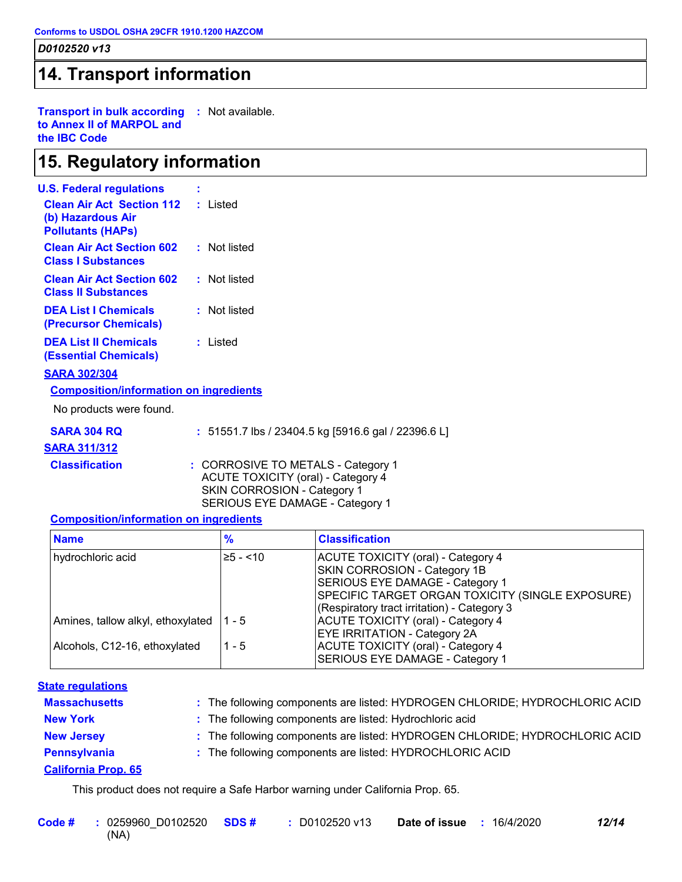### **14. Transport information**

**Transport in bulk according :** Not available. **to Annex II of MARPOL and the IBC Code**

### **15. Regulatory information**

| <b>U.S. Federal regulations</b>                                                            |                  |
|--------------------------------------------------------------------------------------------|------------------|
| <b>Clean Air Act Section 112 : Listed</b><br>(b) Hazardous Air<br><b>Pollutants (HAPS)</b> |                  |
| <b>Clean Air Act Section 602</b><br><b>Class I Substances</b>                              | Not listed<br>t. |
| <b>Clean Air Act Section 602</b><br><b>Class II Substances</b>                             | : Not listed     |
| <b>DEA List I Chemicals</b><br>(Precursor Chemicals)                                       | Not listed<br>t. |
| <b>DEA List II Chemicals</b><br><b>(Essential Chemicals)</b>                               | : Listed         |
| <b>SARA 302/304</b>                                                                        |                  |
| <b>Composition/information on ingredients</b>                                              |                  |

No products were found.

| SARA 304 RQ | : 51551.7 lbs / 23404.5 kg [5916.6 gal / 22396.6 L] |  |
|-------------|-----------------------------------------------------|--|
|             |                                                     |  |

#### **SARA 311/312**

**Classification :** CORROSIVE TO METALS - Category 1 ACUTE TOXICITY (oral) - Category 4 SKIN CORROSION - Category 1 SERIOUS EYE DAMAGE - Category 1

#### **Composition/information on ingredients**

| <b>Name</b>                       | %           | <b>Classification</b>                            |
|-----------------------------------|-------------|--------------------------------------------------|
| hydrochloric acid                 | $≥5 - < 10$ | ACUTE TOXICITY (oral) - Category 4               |
|                                   |             | <b>SKIN CORROSION - Category 1B</b>              |
|                                   |             | SERIOUS EYE DAMAGE - Category 1                  |
|                                   |             | SPECIFIC TARGET ORGAN TOXICITY (SINGLE EXPOSURE) |
|                                   |             | (Respiratory tract irritation) - Category 3      |
| Amines, tallow alkyl, ethoxylated | l 1 - 5     | ACUTE TOXICITY (oral) - Category 4               |
|                                   |             | <b>EYE IRRITATION - Category 2A</b>              |
| Alcohols, C12-16, ethoxylated     | 1 - 5       | ACUTE TOXICITY (oral) - Category 4               |
|                                   |             | SERIOUS EYE DAMAGE - Category 1                  |

#### **State regulations**

| <b>Massachusetts</b>       | : The following components are listed: HYDROGEN CHLORIDE; HYDROCHLORIC ACID |
|----------------------------|-----------------------------------------------------------------------------|
| <b>New York</b>            | : The following components are listed: Hydrochloric acid                    |
| <b>New Jersey</b>          | : The following components are listed: HYDROGEN CHLORIDE; HYDROCHLORIC ACID |
| Pennsylvania               | : The following components are listed: HYDROCHLORIC ACID                    |
| <b>California Prop. 65</b> |                                                                             |

This product does not require a Safe Harbor warning under California Prop. 65.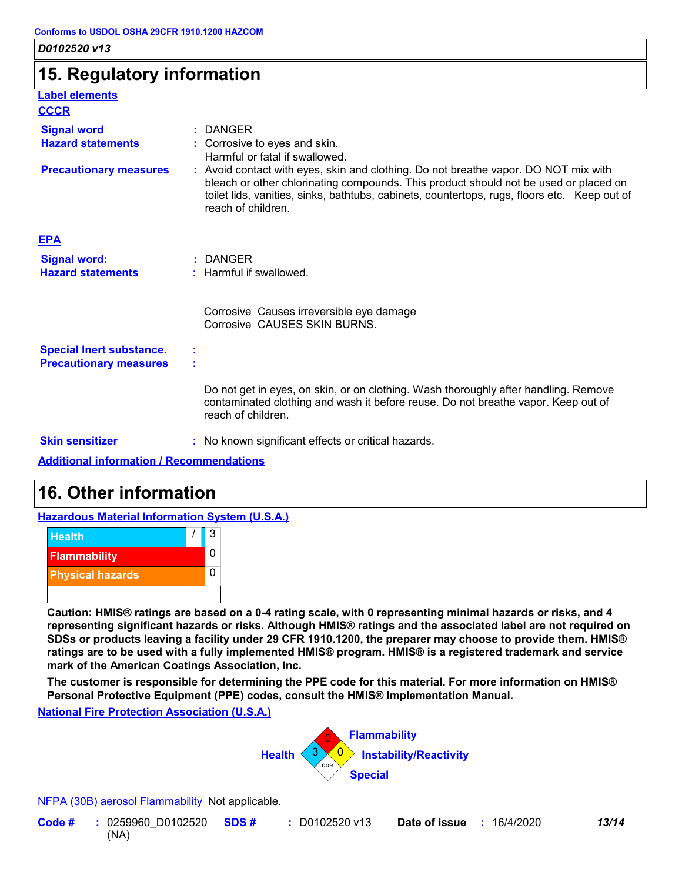### **15. Regulatory information**

| <b>Label elements</b>                                            |                                                                                                                                                                                                                                                                                                   |
|------------------------------------------------------------------|---------------------------------------------------------------------------------------------------------------------------------------------------------------------------------------------------------------------------------------------------------------------------------------------------|
| <b>CCCR</b>                                                      |                                                                                                                                                                                                                                                                                                   |
| <b>Signal word</b><br><b>Hazard statements</b>                   | $:$ DANGER<br>: Corrosive to eyes and skin.<br>Harmful or fatal if swallowed.                                                                                                                                                                                                                     |
| <b>Precautionary measures</b>                                    | : Avoid contact with eyes, skin and clothing. Do not breathe vapor. DO NOT mix with<br>bleach or other chlorinating compounds. This product should not be used or placed on<br>toilet lids, vanities, sinks, bathtubs, cabinets, countertops, rugs, floors etc. Keep out of<br>reach of children. |
| <b>EPA</b>                                                       |                                                                                                                                                                                                                                                                                                   |
| <b>Signal word:</b><br><b>Hazard statements</b>                  | $:$ DANGER<br>: Harmful if swallowed.                                                                                                                                                                                                                                                             |
|                                                                  | Corrosive Causes irreversible eye damage<br>Corrosive CAUSES SKIN BURNS.                                                                                                                                                                                                                          |
| <b>Special Inert substance.</b><br><b>Precautionary measures</b> |                                                                                                                                                                                                                                                                                                   |
|                                                                  | Do not get in eyes, on skin, or on clothing. Wash thoroughly after handling. Remove<br>contaminated clothing and wash it before reuse. Do not breathe vapor. Keep out of<br>reach of children.                                                                                                    |
| <b>Skin sensitizer</b>                                           | : No known significant effects or critical hazards.                                                                                                                                                                                                                                               |
| Additional information (December additional                      |                                                                                                                                                                                                                                                                                                   |

**Additional information / Recommendations**

### **16. Other information**

**Hazardous Material Information System (U.S.A.)**



**Caution: HMIS® ratings are based on a 0-4 rating scale, with 0 representing minimal hazards or risks, and 4 representing significant hazards or risks. Although HMIS® ratings and the associated label are not required on SDSs or products leaving a facility under 29 CFR 1910.1200, the preparer may choose to provide them. HMIS® ratings are to be used with a fully implemented HMIS® program. HMIS® is a registered trademark and service mark of the American Coatings Association, Inc.**

**The customer is responsible for determining the PPE code for this material. For more information on HMIS® Personal Protective Equipment (PPE) codes, consult the HMIS® Implementation Manual.**

#### **National Fire Protection Association (U.S.A.)**



NFPA (30B) aerosol Flammability Not applicable.